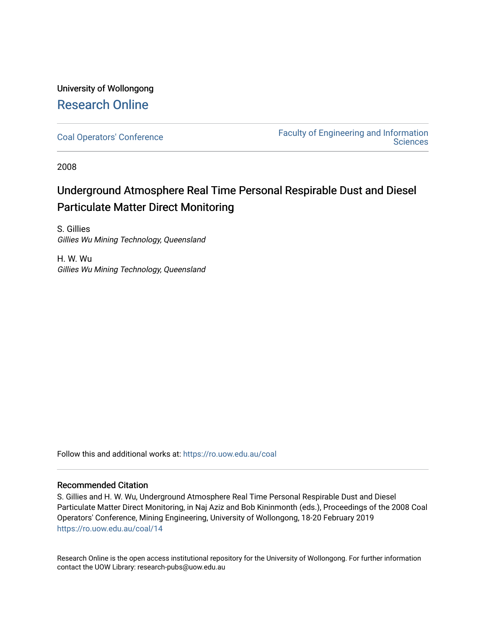# University of Wollongong [Research Online](https://ro.uow.edu.au/)

[Coal Operators' Conference](https://ro.uow.edu.au/coal) [Faculty of Engineering and Information](https://ro.uow.edu.au/eis)  **Sciences** 

2008

# Underground Atmosphere Real Time Personal Respirable Dust and Diesel Particulate Matter Direct Monitoring

S. Gillies Gillies Wu Mining Technology, Queensland

H. W. Wu Gillies Wu Mining Technology, Queensland

Follow this and additional works at: [https://ro.uow.edu.au/coal](https://ro.uow.edu.au/coal?utm_source=ro.uow.edu.au%2Fcoal%2F14&utm_medium=PDF&utm_campaign=PDFCoverPages) 

# Recommended Citation

S. Gillies and H. W. Wu, Underground Atmosphere Real Time Personal Respirable Dust and Diesel Particulate Matter Direct Monitoring, in Naj Aziz and Bob Kininmonth (eds.), Proceedings of the 2008 Coal Operators' Conference, Mining Engineering, University of Wollongong, 18-20 February 2019 [https://ro.uow.edu.au/coal/14](https://ro.uow.edu.au/coal/14?utm_source=ro.uow.edu.au%2Fcoal%2F14&utm_medium=PDF&utm_campaign=PDFCoverPages) 

Research Online is the open access institutional repository for the University of Wollongong. For further information contact the UOW Library: research-pubs@uow.edu.au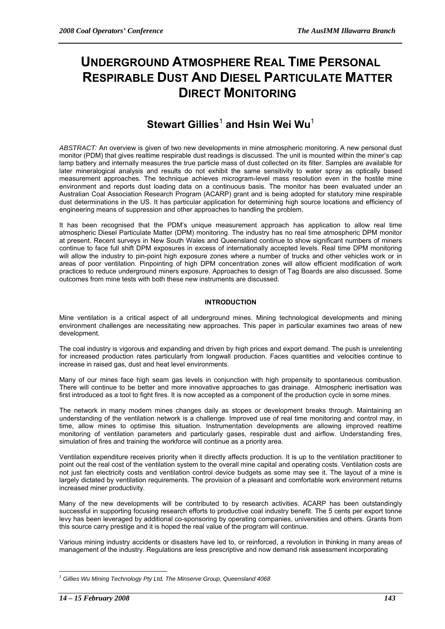# **UNDERGROUND ATMOSPHERE REAL TIME PERSONAL RESPIRABLE DUST AND DIESEL PARTICULATE MATTER DIRECT MONITORING**

# **Stewart Gillies**<sup>1</sup> **and Hsin Wei Wu**<sup>1</sup>

*ABSTRACT:* An overview is given of two new developments in mine atmospheric monitoring. A new personal dust monitor (PDM) that gives realtime respirable dust readings is discussed. The unit is mounted within the miner's cap lamp battery and internally measures the true particle mass of dust collected on its filter. Samples are available for later mineralogical analysis and results do not exhibit the same sensitivity to water spray as optically based measurement approaches. The technique achieves microgram-level mass resolution even in the hostile mine environment and reports dust loading data on a continuous basis. The monitor has been evaluated under an Australian Coal Association Research Program (ACARP) grant and is being adopted for statutory mine respirable dust determinations in the US. It has particular application for determining high source locations and efficiency of engineering means of suppression and other approaches to handling the problem.

It has been recognised that the PDM's unique measurement approach has application to allow real time atmospheric Diesel Particulate Matter (DPM) monitoring. The industry has no real time atmospheric DPM monitor at present. Recent surveys in New South Wales and Queensland continue to show significant numbers of miners continue to face full shift DPM exposures in excess of internationally accepted levels. Real time DPM monitoring will allow the industry to pin-point high exposure zones where a number of trucks and other vehicles work or in areas of poor ventilation. Pinpointing of high DPM concentration zones will allow efficient modification of work practices to reduce underground miners exposure. Approaches to design of Tag Boards are also discussed. Some outcomes from mine tests with both these new instruments are discussed.

# **INTRODUCTION**

Mine ventilation is a critical aspect of all underground mines. Mining technological developments and mining environment challenges are necessitating new approaches. This paper in particular examines two areas of new development.

The coal industry is vigorous and expanding and driven by high prices and export demand. The push is unrelenting for increased production rates particularly from longwall production. Faces quantities and velocities continue to increase in raised gas, dust and heat level environments.

Many of our mines face high seam gas levels in conjunction with high propensity to spontaneous combustion. There will continue to be better and more innovative approaches to gas drainage. Atmospheric inertisation was first introduced as a tool to fight fires. It is now accepted as a component of the production cycle in some mines.

The network in many modern mines changes daily as stopes or development breaks through. Maintaining an understanding of the ventilation network is a challenge. Improved use of real time monitoring and control may, in time, allow mines to optimise this situation. Instrumentation developments are allowing improved realtime monitoring of ventilation parameters and particularly gases, respirable dust and airflow. Understanding fires, simulation of fires and training the workforce will continue as a priority area.

Ventilation expenditure receives priority when it directly affects production. It is up to the ventilation practitioner to point out the real cost of the ventilation system to the overall mine capital and operating costs. Ventilation costs are not just fan electricity costs and ventilation control device budgets as some may see it. The layout of a mine is largely dictated by ventilation requirements. The provision of a pleasant and comfortable work environment returns increased miner productivity.

Many of the new developments will be contributed to by research activities. ACARP has been outstandingly successful in supporting focusing research efforts to productive coal industry benefit. The 5 cents per export tonne levy has been leveraged by additional co-sponsoring by operating companies, universities and others. Grants from this source carry prestige and it is hoped the real value of the program will continue.

Various mining industry accidents or disasters have led to, or reinforced, a revolution in thinking in many areas of management of the industry. Regulations are less prescriptive and now demand risk assessment incorporating

 $\overline{a}$ 

*<sup>1</sup> Gillies Wu Mining Technology Pty Ltd, The Minserve Group, Queensland 4068*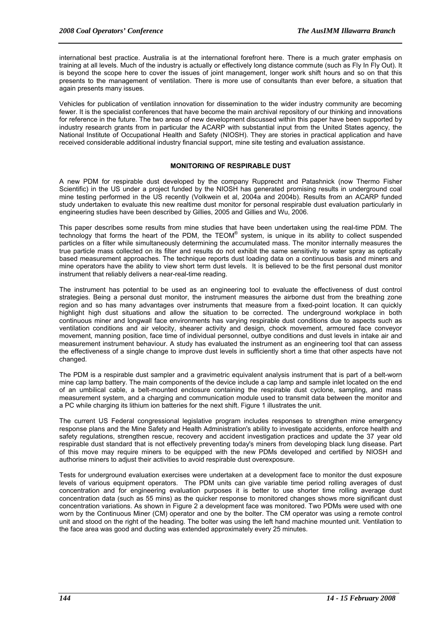international best practice. Australia is at the international forefront here. There is a much grater emphasis on training at all levels. Much of the industry is actually or effectively long distance commute (such as Fly In Fly Out). It is beyond the scope here to cover the issues of joint management, longer work shift hours and so on that this presents to the management of ventilation. There is more use of consultants than ever before, a situation that again presents many issues.

Vehicles for publication of ventilation innovation for dissemination to the wider industry community are becoming fewer. It is the specialist conferences that have become the main archival repository of our thinking and innovations for reference in the future. The two areas of new development discussed within this paper have been supported by industry research grants from in particular the ACARP with substantial input from the United States agency, the National Institute of Occupational Health and Safety (NIOSH). They are stories in practical application and have received considerable additional industry financial support, mine site testing and evaluation assistance.

### **MONITORING OF RESPIRABLE DUST**

A new PDM for respirable dust developed by the company Rupprecht and Patashnick (now Thermo Fisher Scientific) in the US under a project funded by the NIOSH has generated promising results in underground coal mine testing performed in the US recently (Volkwein et al, 2004a and 2004b). Results from an ACARP funded study undertaken to evaluate this new realtime dust monitor for personal respirable dust evaluation particularly in engineering studies have been described by Gillies, 2005 and Gillies and Wu, 2006.

This paper describes some results from mine studies that have been undertaken using the real-time PDM. The technology that forms the heart of the PDM, the TEOM® system, is unique in its ability to collect suspended particles on a filter while simultaneously determining the accumulated mass. The monitor internally measures the true particle mass collected on its filter and results do not exhibit the same sensitivity to water spray as optically based measurement approaches. The technique reports dust loading data on a continuous basis and miners and mine operators have the ability to view short term dust levels. It is believed to be the first personal dust monitor instrument that reliably delivers a near-real-time reading.

The instrument has potential to be used as an engineering tool to evaluate the effectiveness of dust control strategies. Being a personal dust monitor, the instrument measures the airborne dust from the breathing zone region and so has many advantages over instruments that measure from a fixed-point location. It can quickly highlight high dust situations and allow the situation to be corrected. The underground workplace in both continuous miner and longwall face environments has varying respirable dust conditions due to aspects such as ventilation conditions and air velocity, shearer activity and design, chock movement, armoured face conveyor movement, manning position, face time of individual personnel, outbye conditions and dust levels in intake air and measurement instrument behaviour. A study has evaluated the instrument as an engineering tool that can assess the effectiveness of a single change to improve dust levels in sufficiently short a time that other aspects have not changed.

The PDM is a respirable dust sampler and a gravimetric equivalent analysis instrument that is part of a belt-worn mine cap lamp battery. The main components of the device include a cap lamp and sample inlet located on the end of an umbilical cable, a belt-mounted enclosure containing the respirable dust cyclone, sampling, and mass measurement system, and a charging and communication module used to transmit data between the monitor and a PC while charging its lithium ion batteries for the next shift. Figure 1 illustrates the unit.

The current US Federal congressional legislative program includes responses to strengthen mine emergency response plans and the Mine Safety and Health Administration's ability to investigate accidents, enforce health and safety regulations, strengthen rescue, recovery and accident investigation practices and update the 37 year old respirable dust standard that is not effectively preventing today's miners from developing black lung disease. Part of this move may require miners to be equipped with the new PDMs developed and certified by NIOSH and authorise miners to adjust their activities to avoid respirable dust overexposure.

Tests for underground evaluation exercises were undertaken at a development face to monitor the dust exposure levels of various equipment operators. The PDM units can give variable time period rolling averages of dust concentration and for engineering evaluation purposes it is better to use shorter time rolling average dust concentration data (such as 55 mins) as the quicker response to monitored changes shows more significant dust concentration variations. As shown in Figure 2 a development face was monitored. Two PDMs were used with one worn by the Continuous Miner (CM) operator and one by the bolter. The CM operator was using a remote control unit and stood on the right of the heading. The bolter was using the left hand machine mounted unit. Ventilation to the face area was good and ducting was extended approximately every 25 minutes.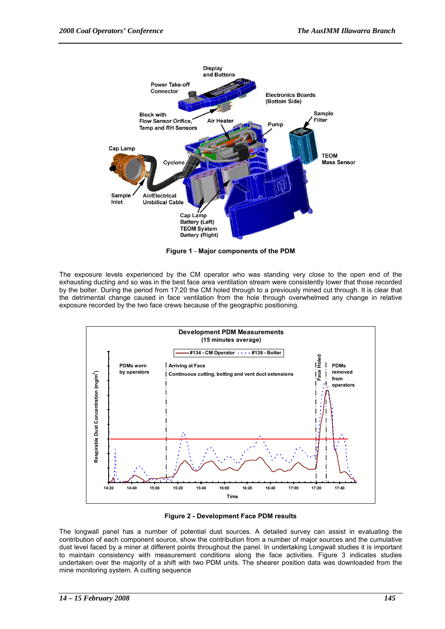

**Figure 1** - **Major components of the PDM** 

The exposure levels experienced by the CM operator who was standing very close to the open end of the exhausting ducting and so was in the best face area ventilation stream were consistently lower that those recorded by the bolter. During the period from 17:20 the CM holed through to a previously mined cut through. It is clear that the detrimental change caused in face ventilation from the hole through overwhelmed any change in relative exposure recorded by the two face crews because of the geographic positioning.



**Figure 2 - Development Face PDM results** 

The longwall panel has a number of potential dust sources. A detailed survey can assist in evaluating the contribution of each component source, show the contribution from a number of major sources and the cumulative dust level faced by a miner at different points throughout the panel. In undertaking Longwall studies it is important to maintain consistency with measurement conditions along the face activities. Figure 3 indicates studies undertaken over the majority of a shift with two PDM units. The shearer position data was downloaded from the mine monitoring system. A cutting sequence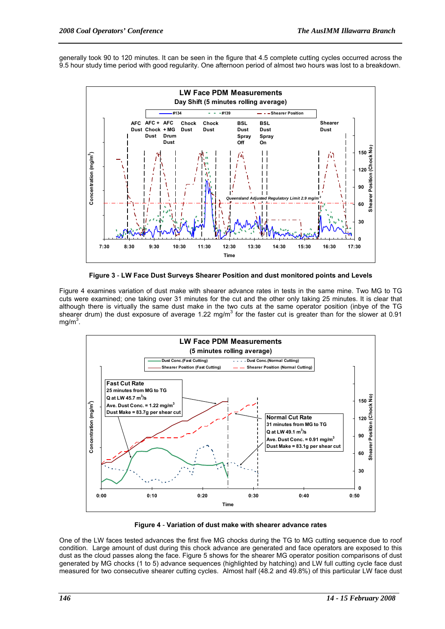generally took 90 to 120 minutes. It can be seen in the figure that 4.5 complete cutting cycles occurred across the 9.5 hour study time period with good regularity. One afternoon period of almost two hours was lost to a breakdown.



**Figure 3** - **LW Face Dust Surveys Shearer Position and dust monitored points and Levels** 

Figure 4 examines variation of dust make with shearer advance rates in tests in the same mine. Two MG to TG cuts were examined; one taking over 31 minutes for the cut and the other only taking 25 minutes. It is clear that although there is virtually the same dust make in the two cuts at the same operator position (inbye of the TG shearer drum) the dust exposure of average 1.22 mg/m<sup>3</sup> for the faster cut is greater than for the slower at 0.91 mg/m $^3$ .



**Figure 4** - **Variation of dust make with shearer advance rates** 

One of the LW faces tested advances the first five MG chocks during the TG to MG cutting sequence due to roof condition. Large amount of dust during this chock advance are generated and face operators are exposed to this dust as the cloud passes along the face. Figure 5 shows for the shearer MG operator position comparisons of dust generated by MG chocks (1 to 5) advance sequences (highlighted by hatching) and LW full cutting cycle face dust measured for two consecutive shearer cutting cycles. Almost half (48.2 and 49.8%) of this particular LW face dust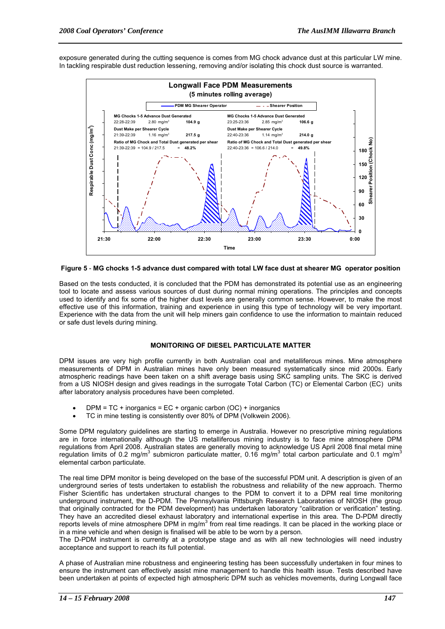exposure generated during the cutting sequence is comes from MG chock advance dust at this particular LW mine. In tackling respirable dust reduction lessening, removing and/or isolating this chock dust source is warranted.



#### **Figure 5** - **MG chocks 1-5 advance dust compared with total LW face dust at shearer MG operator position**

Based on the tests conducted, it is concluded that the PDM has demonstrated its potential use as an engineering tool to locate and assess various sources of dust during normal mining operations. The principles and concepts used to identify and fix some of the higher dust levels are generally common sense. However, to make the most effective use of this information, training and experience in using this type of technology will be very important. Experience with the data from the unit will help miners gain confidence to use the information to maintain reduced or safe dust levels during mining.

# **MONITORING OF DIESEL PARTICULATE MATTER**

DPM issues are very high profile currently in both Australian coal and metalliferous mines. Mine atmosphere measurements of DPM in Australian mines have only been measured systematically since mid 2000s. Early atmospheric readings have been taken on a shift average basis using SKC sampling units. The SKC is derived from a US NIOSH design and gives readings in the surrogate Total Carbon (TC) or Elemental Carbon (EC) units after laboratory analysis procedures have been completed.

- DPM =  $TC$  + inorganics =  $EC$  + organic carbon  $(OC)$  + inorganics
- TC in mine testing is consistently over 80% of DPM (Volkwein 2006).

Some DPM regulatory guidelines are starting to emerge in Australia. However no prescriptive mining regulations are in force internationally although the US metalliferous mining industry is to face mine atmosphere DPM regulations from April 2008. Australian states are generally moving to acknowledge US April 2008 final metal mine regulation limits of 0.2 mg/m<sup>3</sup> submicron particulate matter, 0.16 mg/m<sup>3</sup> total carbon particulate and 0.1 mg/m<sup>3</sup> elemental carbon particulate.

The real time DPM monitor is being developed on the base of the successful PDM unit. A description is given of an underground series of tests undertaken to establish the robustness and reliability of the new approach. Thermo Fisher Scientific has undertaken structural changes to the PDM to convert it to a DPM real time monitoring underground instrument, the D-PDM. The Pennsylvania Pittsburgh Research Laboratories of NIOSH (the group that originally contracted for the PDM development) has undertaken laboratory "calibration or verification" testing. They have an accredited diesel exhaust laboratory and international expertise in this area. The D-PDM directly reports levels of mine atmosphere DPM in mg/m<sup>3</sup> from real time readings. It can be placed in the working place or in a mine vehicle and when design is finalised will be able to be worn by a person.

The D-PDM instrument is currently at a prototype stage and as with all new technologies will need industry acceptance and support to reach its full potential.

A phase of Australian mine robustness and engineering testing has been successfully undertaken in four mines to ensure the instrument can effectively assist mine management to handle this health issue. Tests described have been undertaken at points of expected high atmospheric DPM such as vehicles movements, during Longwall face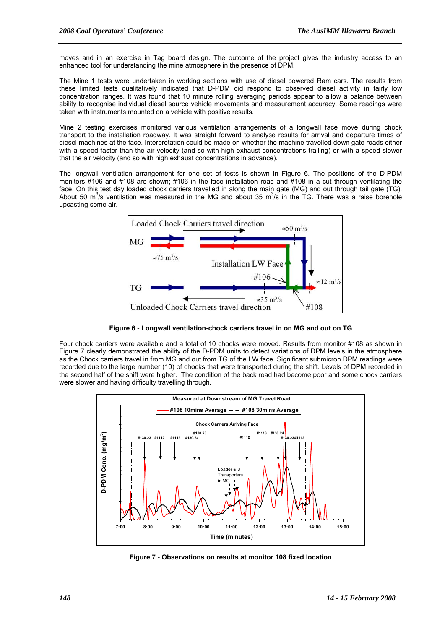moves and in an exercise in Tag board design. The outcome of the project gives the industry access to an enhanced tool for understanding the mine atmosphere in the presence of DPM.

The Mine 1 tests were undertaken in working sections with use of diesel powered Ram cars. The results from these limited tests qualitatively indicated that D-PDM did respond to observed diesel activity in fairly low concentration ranges. It was found that 10 minute rolling averaging periods appear to allow a balance between ability to recognise individual diesel source vehicle movements and measurement accuracy. Some readings were taken with instruments mounted on a vehicle with positive results.

Mine 2 testing exercises monitored various ventilation arrangements of a longwall face move during chock transport to the installation roadway. It was straight forward to analyse results for arrival and departure times of diesel machines at the face. Interpretation could be made on whether the machine travelled down gate roads either with a speed faster than the air velocity (and so with high exhaust concentrations trailing) or with a speed slower that the air velocity (and so with high exhaust concentrations in advance).

The longwall ventilation arrangement for one set of tests is shown in Figure 6. The positions of the D-PDM monitors #106 and #108 are shown; #106 in the face installation road and #108 in a cut through ventilating the face. On this test day loaded chock carriers travelled in along the main gate (MG) and out through tail gate (TG). About 50  $\text{m}^3$ /s ventilation was measured in the MG and about 35  $\text{m}^3$ /s in the TG. There was a raise borehole upcasting some air.



**Figure 6** - **Longwall ventilation-chock carriers travel in on MG and out on TG** 

Four chock carriers were available and a total of 10 chocks were moved. Results from monitor #108 as shown in Figure 7 clearly demonstrated the ability of the D-PDM units to detect variations of DPM levels in the atmosphere as the Chock carriers travel in from MG and out from TG of the LW face. Significant submicron DPM readings were recorded due to the large number (10) of chocks that were transported during the shift. Levels of DPM recorded in the second half of the shift were higher. The condition of the back road had become poor and some chock carriers were slower and having difficulty travelling through.



**Figure 7** - **Observations on results at monitor 108 fixed location**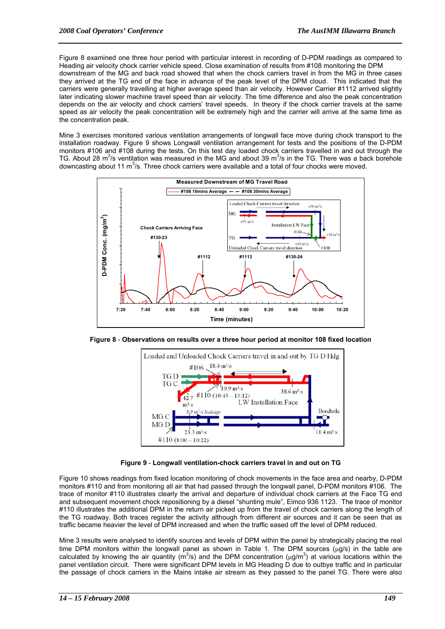Figure 8 examined one three hour period with particular interest in recording of D-PDM readings as compared to Heading air velocity chock carrier vehicle speed. Close examination of results from #108 monitoring the DPM downstream of the MG and back road showed that when the chock carriers travel in from the MG in three cases they arrived at the TG end of the face in advance of the peak level of the DPM cloud. This indicated that the carriers were generally travelling at higher average speed than air velocity. However Carrier #1112 arrived slightly later indicating slower machine travel speed than air velocity. The time difference and also the peak concentration depends on the air velocity and chock carriers' travel speeds. In theory if the chock carrier travels at the same speed as air velocity the peak concentration will be extremely high and the carrier will arrive at the same time as the concentration peak.

Mine 3 exercises monitored various ventilation arrangements of longwall face move during chock transport to the installation roadway. Figure 9 shows Longwall ventilation arrangement for tests and the positions of the D-PDM monitors #106 and #108 during the tests. On this test day loaded chock carriers travelled in and out through the TG. About 28  $m^3$ /s ventilation was measured in the MG and about 39  $m^3$ /s in the TG. There was a back borehole downcasting about 11 m<sup>3</sup>/s. Three chock carriers were available and a total of four chocks were moved.



**Figure 8** - **Observations on results over a three hour period at monitor 108 fixed location**



**Figure 9** - **Longwall ventilation-chock carriers travel in and out on TG** 

Figure 10 shows readings from fixed location monitoring of chock movements in the face area and nearby, D-PDM monitors #110 and from monitoring all air that had passed through the longwall panel, D-PDM monitors #106. The trace of monitor #110 illustrates clearly the arrival and departure of individual chock carriers at the Face TG end and subsequent movement chock repositioning by a diesel "shunting mule", Eimco 936 1123. The trace of monitor #110 illustrates the additional DPM in the return air picked up from the travel of chock carriers along the length of the TG roadway. Both traces register the activity although from different air sources and it can be seen that as traffic became heavier the level of DPM increased and when the traffic eased off the level of DPM reduced.

Mine 3 results were analysed to identify sources and levels of DPM within the panel by strategically placing the real time DPM monitors within the longwall panel as shown in Table 1. The DPM sources (μg/s) in the table are calculated by knowing the air quantity (m<sup>3</sup>/s) and the DPM concentration ( $\mu$ g/m<sup>3</sup>) at various locations within the panel ventilation circuit. There were significant DPM levels in MG Heading D due to outbye traffic and in particular the passage of chock carriers in the Mains intake air stream as they passed to the panel TG. There were also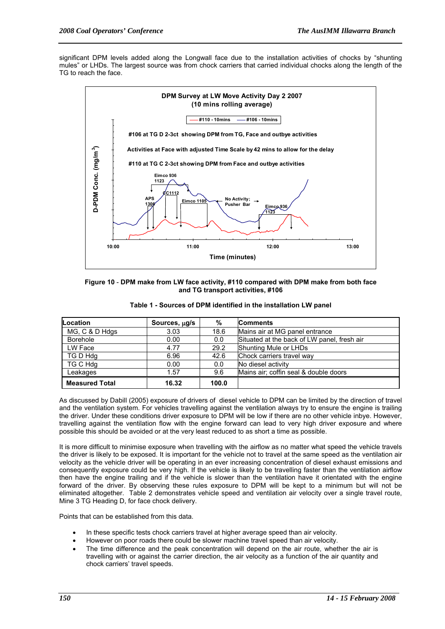significant DPM levels added along the Longwall face due to the installation activities of chocks by "shunting mules" or LHDs. The largest source was from chock carriers that carried individual chocks along the length of the TG to reach the face.



#### **Figure 10** - **DPM make from LW face activity, #110 compared with DPM make from both face and TG transport activities, #106**

| Location              | Sources, µg/s | %     | <b>Comments</b>                             |
|-----------------------|---------------|-------|---------------------------------------------|
| MG, C & D Hdgs        | 3.03          | 18.6  | Mains air at MG panel entrance              |
| <b>Borehole</b>       | 0.00          | 0.0   | Situated at the back of LW panel, fresh air |
| LW Face               | 4.77          | 29.2  | Shunting Mule or LHDs                       |
| TG D Hdg              | 6.96          | 42.6  | Chock carriers travel way                   |
| TG C Hdg              | 0.00          | 0.0   | No diesel activity                          |
| Leakages              | 1.57          | 9.6   | Mains air; coffin seal & double doors       |
| <b>Measured Total</b> | 16.32         | 100.0 |                                             |

|  |  | Table 1 - Sources of DPM identified in the installation LW panel |  |
|--|--|------------------------------------------------------------------|--|
|  |  |                                                                  |  |

As discussed by Dabill (2005) exposure of drivers of diesel vehicle to DPM can be limited by the direction of travel and the ventilation system. For vehicles travelling against the ventilation always try to ensure the engine is trailing the driver. Under these conditions driver exposure to DPM will be low if there are no other vehicle inbye. However, travelling against the ventilation flow with the engine forward can lead to very high driver exposure and where possible this should be avoided or at the very least reduced to as short a time as possible.

It is more difficult to minimise exposure when travelling with the airflow as no matter what speed the vehicle travels the driver is likely to be exposed. It is important for the vehicle not to travel at the same speed as the ventilation air velocity as the vehicle driver will be operating in an ever increasing concentration of diesel exhaust emissions and consequently exposure could be very high. If the vehicle is likely to be travelling faster than the ventilation airflow then have the engine trailing and if the vehicle is slower than the ventilation have it orientated with the engine forward of the driver. By observing these rules exposure to DPM will be kept to a minimum but will not be eliminated altogether. Table 2 demonstrates vehicle speed and ventilation air velocity over a single travel route, Mine 3 TG Heading D, for face chock delivery.

Points that can be established from this data.

- In these specific tests chock carriers travel at higher average speed than air velocity.
- However on poor roads there could be slower machine travel speed than air velocity.
- The time difference and the peak concentration will depend on the air route, whether the air is travelling with or against the carrier direction, the air velocity as a function of the air quantity and chock carriers' travel speeds.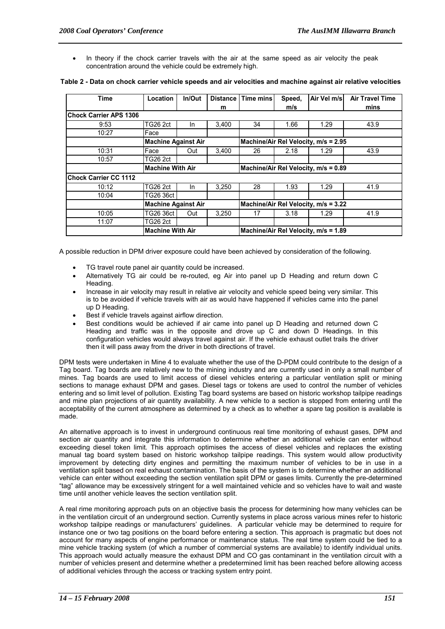• In theory if the chock carrier travels with the air at the same speed as air velocity the peak concentration around the vehicle could be extremely high.

| <b>Time</b>                   | Location                   | In/Out | <b>Distance</b> | Time mins                            | Speed, | Air Vel m/s | <b>Air Travel Time</b> |  |
|-------------------------------|----------------------------|--------|-----------------|--------------------------------------|--------|-------------|------------------------|--|
|                               |                            |        | m               |                                      | m/s    |             | mins                   |  |
| <b>Chock Carrier APS 1306</b> |                            |        |                 |                                      |        |             |                        |  |
| 9:53                          | <b>TG26 2ct</b>            | In.    | 3,400           | 34                                   | 1.66   | 1.29        | 43.9                   |  |
| 10:27                         | Face                       |        |                 |                                      |        |             |                        |  |
|                               | <b>Machine Against Air</b> |        |                 | Machine/Air Rel Velocity, m/s = 2.95 |        |             |                        |  |
| 10:31                         | Face                       | Out    | 3.400           | 26                                   | 2.18   | 1.29        | 43.9                   |  |
| 10:57                         | TG26 2ct                   |        |                 |                                      |        |             |                        |  |
|                               | <b>Machine With Air</b>    |        |                 | Machine/Air Rel Velocity, m/s = 0.89 |        |             |                        |  |
| <b>Chock Carrier CC 1112</b>  |                            |        |                 |                                      |        |             |                        |  |
| 10:12                         | TG26 2ct                   | In.    | 3,250           | 28                                   | 1.93   | 1.29        | 41.9                   |  |
| 10:04                         | TG26 36ct                  |        |                 |                                      |        |             |                        |  |
|                               | <b>Machine Against Air</b> |        |                 | Machine/Air Rel Velocity, m/s = 3.22 |        |             |                        |  |
| 10:05                         | TG26 36ct                  | Out    | 3,250           | 17                                   | 3.18   | 1.29        | 41.9                   |  |
| 11:07                         | TG26 2ct                   |        |                 |                                      |        |             |                        |  |
|                               | <b>Machine With Air</b>    |        |                 | Machine/Air Rel Velocity, m/s = 1.89 |        |             |                        |  |

## **Table 2 - Data on chock carrier vehicle speeds and air velocities and machine against air relative velocities**

A possible reduction in DPM driver exposure could have been achieved by consideration of the following.

- TG travel route panel air quantity could be increased.
- Alternatively TG air could be re-routed, eg Air into panel up D Heading and return down C Heading.
- Increase in air velocity may result in relative air velocity and vehicle speed being very similar. This is to be avoided if vehicle travels with air as would have happened if vehicles came into the panel up D Heading.
- Best if vehicle travels against airflow direction.
- Best conditions would be achieved if air came into panel up D Heading and returned down C Heading and traffic was in the opposite and drove up C and down D Headings. In this configuration vehicles would always travel against air. If the vehicle exhaust outlet trails the driver then it will pass away from the driver in both directions of travel.

DPM tests were undertaken in Mine 4 to evaluate whether the use of the D-PDM could contribute to the design of a Tag board. Tag boards are relatively new to the mining industry and are currently used in only a small number of mines. Tag boards are used to limit access of diesel vehicles entering a particular ventilation split or mining sections to manage exhaust DPM and gases. Diesel tags or tokens are used to control the number of vehicles entering and so limit level of pollution. Existing Tag board systems are based on historic workshop tailpipe readings and mine plan projections of air quantity availability. A new vehicle to a section is stopped from entering until the acceptability of the current atmosphere as determined by a check as to whether a spare tag position is available is made.

An alternative approach is to invest in underground continuous real time monitoring of exhaust gases, DPM and section air quantity and integrate this information to determine whether an additional vehicle can enter without exceeding diesel token limit. This approach optimises the access of diesel vehicles and replaces the existing manual tag board system based on historic workshop tailpipe readings. This system would allow productivity improvement by detecting dirty engines and permitting the maximum number of vehicles to be in use in a ventilation split based on real exhaust contamination. The basis of the system is to determine whether an additional vehicle can enter without exceeding the section ventilation split DPM or gases limits. Currently the pre-determined "tag" allowance may be excessively stringent for a well maintained vehicle and so vehicles have to wait and waste time until another vehicle leaves the section ventilation split.

A real rime monitoring approach puts on an objective basis the process for determining how many vehicles can be in the ventilation circuit of an underground section. Currently systems in place across various mines refer to historic workshop tailpipe readings or manufacturers' guidelines. A particular vehicle may be determined to require for instance one or two tag positions on the board before entering a section. This approach is pragmatic but does not account for many aspects of engine performance or maintenance status. The real time system could be tied to a mine vehicle tracking system (of which a number of commercial systems are available) to identify individual units. This approach would actually measure the exhaust DPM and CO gas contaminant in the ventilation circuit with a number of vehicles present and determine whether a predetermined limit has been reached before allowing access of additional vehicles through the access or tracking system entry point.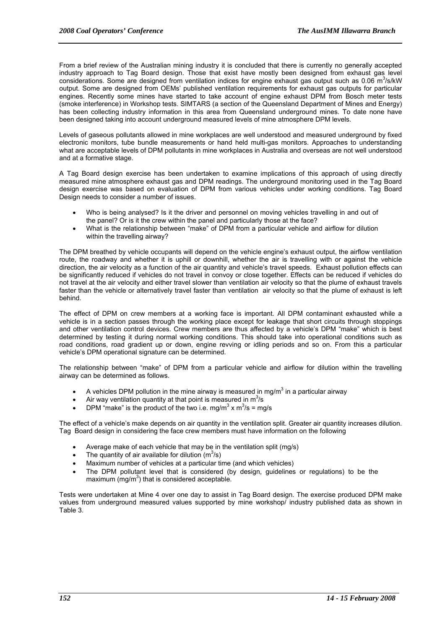From a brief review of the Australian mining industry it is concluded that there is currently no generally accepted industry approach to Tag Board design. Those that exist have mostly been designed from exhaust gas level considerations. Some are designed from ventilation indices for engine exhaust gas output such as 0.06 m<sup>3</sup>/s/kW output. Some are designed from OEMs' published ventilation requirements for exhaust gas outputs for particular engines. Recently some mines have started to take account of engine exhaust DPM from Bosch meter tests (smoke interference) in Workshop tests. SIMTARS (a section of the Queensland Department of Mines and Energy) has been collecting industry information in this area from Queensland underground mines. To date none have been designed taking into account underground measured levels of mine atmosphere DPM levels.

Levels of gaseous pollutants allowed in mine workplaces are well understood and measured underground by fixed electronic monitors, tube bundle measurements or hand held multi-gas monitors. Approaches to understanding what are acceptable levels of DPM pollutants in mine workplaces in Australia and overseas are not well understood and at a formative stage.

A Tag Board design exercise has been undertaken to examine implications of this approach of using directly measured mine atmosphere exhaust gas and DPM readings. The underground monitoring used in the Tag Board design exercise was based on evaluation of DPM from various vehicles under working conditions. Tag Board Design needs to consider a number of issues.

- Who is being analysed? Is it the driver and personnel on moving vehicles travelling in and out of the panel? Or is it the crew within the panel and particularly those at the face?
- What is the relationship between "make" of DPM from a particular vehicle and airflow for dilution within the travelling airway?

The DPM breathed by vehicle occupants will depend on the vehicle engine's exhaust output, the airflow ventilation route, the roadway and whether it is uphill or downhill, whether the air is travelling with or against the vehicle direction, the air velocity as a function of the air quantity and vehicle's travel speeds. Exhaust pollution effects can be significantly reduced if vehicles do not travel in convoy or close together. Effects can be reduced if vehicles do not travel at the air velocity and either travel slower than ventilation air velocity so that the plume of exhaust travels faster than the vehicle or alternatively travel faster than ventilation air velocity so that the plume of exhaust is left behind.

The effect of DPM on crew members at a working face is important. All DPM contaminant exhausted while a vehicle is in a section passes through the working place except for leakage that short circuits through stoppings and other ventilation control devices. Crew members are thus affected by a vehicle's DPM "make" which is best determined by testing it during normal working conditions. This should take into operational conditions such as road conditions, road gradient up or down, engine revving or idling periods and so on. From this a particular vehicle's DPM operational signature can be determined.

The relationship between "make" of DPM from a particular vehicle and airflow for dilution within the travelling airway can be determined as follows.

- A vehicles DPM pollution in the mine airway is measured in mg/m<sup>3</sup> in a particular airway
- Air way ventilation quantity at that point is measured in  $m^3/s$
- DPM "make" is the product of the two i.e. mg/m<sup>3</sup> x m<sup>3</sup>/s = mg/s

The effect of a vehicle's make depends on air quantity in the ventilation split. Greater air quantity increases dilution. Tag Board design in considering the face crew members must have information on the following

- Average make of each vehicle that may be in the ventilation split (mg/s)
- The quantity of air available for dilution  $(m^3/s)$
- Maximum number of vehicles at a particular time (and which vehicles)
- The DPM pollutant level that is considered (by design, guidelines or regulations) to be the maximum  $(mg/m^3)$  that is considered acceptable.

Tests were undertaken at Mine 4 over one day to assist in Tag Board design. The exercise produced DPM make values from underground measured values supported by mine workshop/ industry published data as shown in Table 3.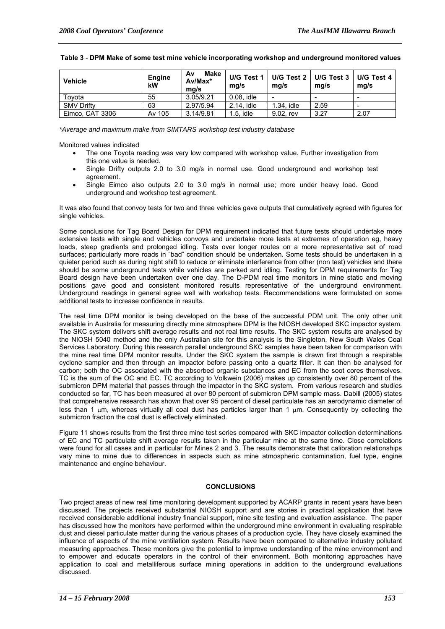| <b>Vehicle</b>    | <b>Engine</b><br>kW | <b>Make</b><br>Av<br>$Av/Max^*$<br>ma/s | U/G Test 1<br>ma/s | U/G Test 2<br>ma/s       | U/G Test $3$   U/G Test 4<br>ma/s | ma/s                     |
|-------------------|---------------------|-----------------------------------------|--------------------|--------------------------|-----------------------------------|--------------------------|
| Tovota            | 55                  | 3.05/9.21                               | 0.08, idle         | $\overline{\phantom{0}}$ |                                   | $\overline{\phantom{0}}$ |
| <b>SMV Drifty</b> | 63                  | 2.97/5.94                               | 2.14. idle         | 1.34. idle               | 2.59                              | $\overline{\phantom{0}}$ |
| Eimco, CAT 3306   | Av 105              | 3.14/9.81                               | $1.5.$ idle        | 9.02. rev                | 3.27                              | 2.07                     |

## **Table 3** - **DPM Make of some test mine vehicle incorporating workshop and underground monitored values**

*\*Average and maximum make from SIMTARS workshop test industry database* 

Monitored values indicated

- The one Toyota reading was very low compared with workshop value. Further investigation from this one value is needed.
- Single Drifty outputs 2.0 to 3.0 mg/s in normal use. Good underground and workshop test agreement.
- Single Eimco also outputs 2.0 to 3.0 mg/s in normal use; more under heavy load. Good underground and workshop test agreement.

It was also found that convoy tests for two and three vehicles gave outputs that cumulatively agreed with figures for single vehicles.

Some conclusions for Tag Board Design for DPM requirement indicated that future tests should undertake more extensive tests with single and vehicles convoys and undertake more tests at extremes of operation eg, heavy loads, steep gradients and prolonged idling. Tests over longer routes on a more representative set of road surfaces; particularly more roads in "bad" condition should be undertaken. Some tests should be undertaken in a quieter period such as during night shift to reduce or eliminate interference from other (non test) vehicles and there should be some underground tests while vehicles are parked and idling. Testing for DPM requirements for Tag Board design have been undertaken over one day. The D-PDM real time monitors in mine static and moving positions gave good and consistent monitored results representative of the underground environment. Underground readings in general agree well with workshop tests. Recommendations were formulated on some additional tests to increase confidence in results.

The real time DPM monitor is being developed on the base of the successful PDM unit. The only other unit available in Australia for measuring directly mine atmosphere DPM is the NIOSH developed SKC impactor system. The SKC system delivers shift average results and not real time results. The SKC system results are analysed by the NIOSH 5040 method and the only Australian site for this analysis is the Singleton, New South Wales Coal Services Laboratory. During this research parallel underground SKC samples have been taken for comparison with the mine real time DPM monitor results. Under the SKC system the sample is drawn first through a respirable cyclone sampler and then through an impactor before passing onto a quartz filter. It can then be analysed for carbon; both the OC associated with the absorbed organic substances and EC from the soot cores themselves. TC is the sum of the OC and EC. TC according to Volkwein (2006) makes up consistently over 80 percent of the submicron DPM material that passes through the impactor in the SKC system. From various research and studies conducted so far, TC has been measured at over 80 percent of submicron DPM sample mass. Dabill (2005) states that comprehensive research has shown that over 95 percent of diesel particulate has an aerodynamic diameter of less than 1 μm, whereas virtually all coal dust has particles larger than 1 μm. Consequently by collecting the submicron fraction the coal dust is effectively eliminated.

Figure 11 shows results from the first three mine test series compared with SKC impactor collection determinations of EC and TC particulate shift average results taken in the particular mine at the same time. Close correlations were found for all cases and in particular for Mines 2 and 3. The results demonstrate that calibration relationships vary mine to mine due to differences in aspects such as mine atmospheric contamination, fuel type, engine maintenance and engine behaviour.

### **CONCLUSIONS**

Two project areas of new real time monitoring development supported by ACARP grants in recent years have been discussed. The projects received substantial NIOSH support and are stories in practical application that have received considerable additional industry financial support, mine site testing and evaluation assistance. The paper has discussed how the monitors have performed within the underground mine environment in evaluating respirable dust and diesel particulate matter during the various phases of a production cycle. They have closely examined the influence of aspects of the mine ventilation system. Results have been compared to alternative industry pollutant measuring approaches. These monitors give the potential to improve understanding of the mine environment and to empower and educate operators in the control of their environment. Both monitoring approaches have application to coal and metalliferous surface mining operations in addition to the underground evaluations discussed.